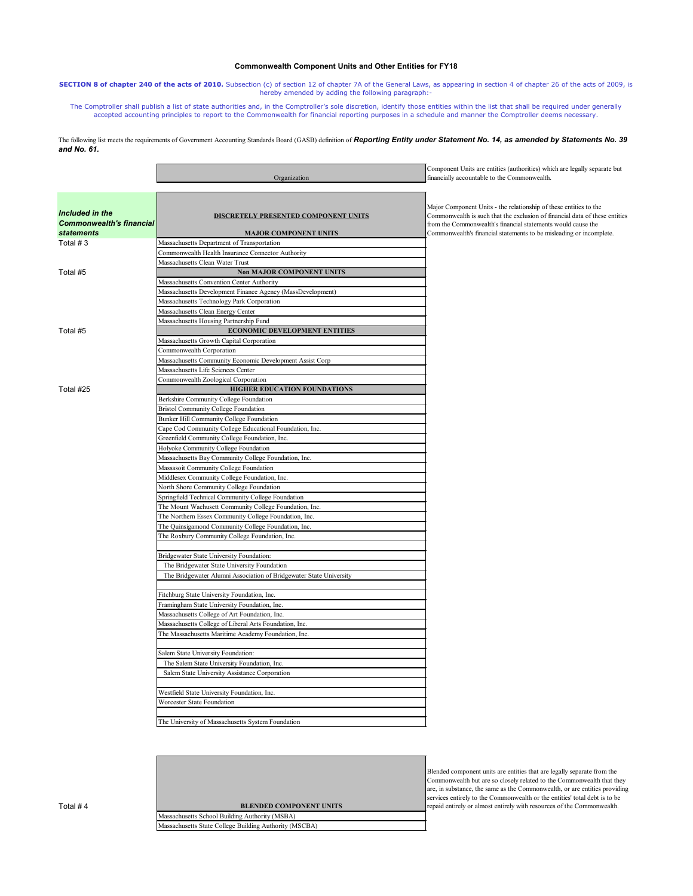|                                                                         | Organization                                                                | Component Units are entities (authorities) which are legally separate but<br>financially accountable to the Commonwealth.                                                                                                                                                               |
|-------------------------------------------------------------------------|-----------------------------------------------------------------------------|-----------------------------------------------------------------------------------------------------------------------------------------------------------------------------------------------------------------------------------------------------------------------------------------|
|                                                                         |                                                                             |                                                                                                                                                                                                                                                                                         |
| Included in the<br><b>Commonwealth's financial</b><br><b>statements</b> | <b>DISCRETELY PRESENTED COMPONENT UNITS</b><br><b>MAJOR COMPONENT UNITS</b> | Major Component Units - the relationship of these entities to the<br>Commonwealth is such that the exclusion of financial data of these entities<br>from the Commonwealth's financial statements would cause the<br>Commonwealth's financial statements to be misleading or incomplete. |
| Total $# 3$                                                             | Massachusetts Department of Transportation                                  |                                                                                                                                                                                                                                                                                         |
|                                                                         | Commonwealth Health Insurance Connector Authority                           |                                                                                                                                                                                                                                                                                         |
|                                                                         | Massachusetts Clean Water Trust                                             |                                                                                                                                                                                                                                                                                         |
| Total #5                                                                | <b>Non MAJOR COMPONENT UNITS</b>                                            |                                                                                                                                                                                                                                                                                         |
|                                                                         | Massachusetts Convention Center Authority                                   |                                                                                                                                                                                                                                                                                         |
|                                                                         | Massachusetts Development Finance Agency (MassDevelopment)                  |                                                                                                                                                                                                                                                                                         |
|                                                                         | Massachusetts Technology Park Corporation                                   |                                                                                                                                                                                                                                                                                         |
|                                                                         | Massachusetts Clean Energy Center                                           |                                                                                                                                                                                                                                                                                         |
|                                                                         | Massachusetts Housing Partnership Fund                                      |                                                                                                                                                                                                                                                                                         |
| Total #5                                                                | <b>ECONOMIC DEVELOPMENT ENTITIES</b>                                        |                                                                                                                                                                                                                                                                                         |
|                                                                         | Massachusetts Growth Capital Corporation                                    |                                                                                                                                                                                                                                                                                         |
|                                                                         | Commonwealth Corporation                                                    |                                                                                                                                                                                                                                                                                         |
|                                                                         | Massachusetts Community Economic Development Assist Corp                    |                                                                                                                                                                                                                                                                                         |
|                                                                         | Massachusetts Life Sciences Center                                          |                                                                                                                                                                                                                                                                                         |
|                                                                         | Commonwealth Zoological Corporation                                         |                                                                                                                                                                                                                                                                                         |
| Total #25                                                               | HIGHER EDUCATION FOUNDATIONS                                                |                                                                                                                                                                                                                                                                                         |
|                                                                         | Berkshire Community College Foundation                                      |                                                                                                                                                                                                                                                                                         |
|                                                                         | <b>Bristol Community College Foundation</b>                                 |                                                                                                                                                                                                                                                                                         |
|                                                                         | Bunker Hill Community College Foundation                                    |                                                                                                                                                                                                                                                                                         |
|                                                                         | Cape Cod Community College Educational Foundation, Inc.                     |                                                                                                                                                                                                                                                                                         |
|                                                                         | Greenfield Community College Foundation, Inc.                               |                                                                                                                                                                                                                                                                                         |
|                                                                         | Holyoke Community College Foundation                                        |                                                                                                                                                                                                                                                                                         |
|                                                                         | Massachusetts Bay Community College Foundation, Inc.                        |                                                                                                                                                                                                                                                                                         |
|                                                                         | Massasoit Community College Foundation                                      |                                                                                                                                                                                                                                                                                         |
|                                                                         | Middlesex Community College Foundation, Inc.                                |                                                                                                                                                                                                                                                                                         |
|                                                                         | North Shore Community College Foundation                                    |                                                                                                                                                                                                                                                                                         |
|                                                                         | Springfield Technical Community College Foundation                          |                                                                                                                                                                                                                                                                                         |
|                                                                         | The Mount Wachusett Community College Foundation, Inc.                      |                                                                                                                                                                                                                                                                                         |
|                                                                         | The Northern Essex Community College Foundation, Inc.                       |                                                                                                                                                                                                                                                                                         |
|                                                                         | The Quinsigamond Community College Foundation, Inc.                         |                                                                                                                                                                                                                                                                                         |
|                                                                         | The Roxbury Community College Foundation, Inc.                              |                                                                                                                                                                                                                                                                                         |
|                                                                         |                                                                             |                                                                                                                                                                                                                                                                                         |
|                                                                         | Bridgewater State University Foundation:                                    |                                                                                                                                                                                                                                                                                         |
|                                                                         | The Bridgewater State University Foundation                                 |                                                                                                                                                                                                                                                                                         |
|                                                                         | The Bridgewater Alumni Association of Bridgewater State University          |                                                                                                                                                                                                                                                                                         |
|                                                                         | Fitchburg State University Foundation, Inc.                                 |                                                                                                                                                                                                                                                                                         |
|                                                                         | Framingham State University Foundation, Inc.                                |                                                                                                                                                                                                                                                                                         |
|                                                                         | Massachusetts College of Art Foundation, Inc.                               |                                                                                                                                                                                                                                                                                         |
|                                                                         | Massachusetts College of Liberal Arts Foundation, Inc.                      |                                                                                                                                                                                                                                                                                         |
|                                                                         | The Massachusetts Maritime Academy Foundation, Inc.                         |                                                                                                                                                                                                                                                                                         |
|                                                                         | Salem State University Foundation:                                          |                                                                                                                                                                                                                                                                                         |
|                                                                         | The Salem State University Foundation, Inc.                                 |                                                                                                                                                                                                                                                                                         |
|                                                                         | Salem State University Assistance Corporation                               |                                                                                                                                                                                                                                                                                         |
|                                                                         |                                                                             |                                                                                                                                                                                                                                                                                         |

The following list meets the requirements of Government Accounting Standards Board (GASB) definition of **Reporting Entity under Statement No. 14, as amended by Statements No. 39** *and No. 61.*

Worcester State Foundation

The University of Massachusetts System Foundation

Blended component units are entities that are legally separate from the Commonwealth but are so closely related to the Commonwealth that they are, in substance, the same as the Commonwealth, or are entities providing services entirely to the Commonwealth or the entities' total debt is to be repaid entirely or almost entirely with resources of the Commonwealth.



## **Commonwealth Component Units and Other Entities for FY18**

**SECTION 8 of chapter 240 of the acts of 2010.** Subsection (c) of section 12 of chapter 7A of the General Laws, as appearing in section 4 of chapter 26 of the acts of 2009, is hereby amended by adding the following paragraph:-

The Comptroller shall publish a list of state authorities and, in the Comptroller's sole discretion, identify those entities within the list that shall be required under generally accepted accounting principles to report to the Commonwealth for financial reporting purposes in a schedule and manner the Comptroller deems necessary.